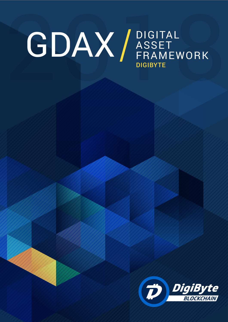### **CDAX** BIGITAL ASSET FRAMEWORK **DIGIBYTE**

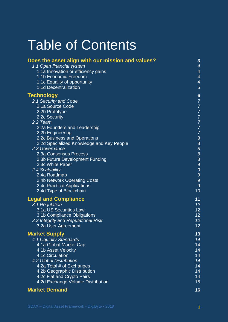### Table of Contents

| Does the asset align with our mission and values? | 3                                     |
|---------------------------------------------------|---------------------------------------|
| 1.1 Open financial system                         | $\overline{\mathcal{A}}$              |
| 1.1a Innovation or efficiency gains               | $\overline{\mathcal{A}}$              |
| 1.1b Economic Freedom                             | $\overline{\mathcal{A}}$              |
| 1.1c Equality of opportunity                      | $\overline{\mathcal{A}}$              |
| 1.1d Decentralization                             | 5                                     |
| Technology                                        | $\boldsymbol{6}$                      |
| 2.1 Security and Code                             |                                       |
| 2.1a Source Code                                  |                                       |
| 2.2b Prototype                                    |                                       |
| 2.2c Security                                     |                                       |
| 2.2 Team                                          |                                       |
| 2.2a Founders and Leadership                      | 777777                                |
| 2.2b Engineering                                  |                                       |
| 2.2c Business and Operations                      | 8                                     |
| 2.2d Specialized Knowledge and Key People         | $\begin{array}{c} 8 \\ 8 \end{array}$ |
| 2.3 Governance                                    |                                       |
| 2.3a Consensus Process                            |                                       |
| 2.3b Future Development Funding                   | $\begin{array}{c} 8 \\ 9 \end{array}$ |
| 2.3c White Paper                                  |                                       |
| 2.4 Scalability                                   | 9                                     |
| 2.4a Roadmap                                      | $\begin{array}{c} 9 \\ 9 \end{array}$ |
| 2.4b Network Operating Costs                      |                                       |
| 2.4c Practical Applications                       | 9                                     |
| 2.4d Type of Blockchain                           | 10                                    |
| <b>Legal and Compliance</b>                       | 11                                    |
| 3.1 Regulation                                    | 12                                    |
| 3.1a US Securities Law                            | 12                                    |
| 3.1b Compliance Obligations                       | 12                                    |
| 3.2 Integrity and Reputational Risk               | 12                                    |
| 3.2a User Agreement                               | 12                                    |
| <b>Market Supply</b>                              | 13                                    |
| 4.1 Liquidity Standards                           | 14                                    |
| 4.1a Global Market Cap                            | 14                                    |
| 4.1b Asset Velocity                               | 14                                    |
| 4.1c Circulation                                  | 14                                    |
| 4.2 Global Distribution                           | 14                                    |
| 4.2a Total # of Exchanges                         | 14                                    |
| 4.2b Geographic Distribution                      | 14                                    |
| 4.2c Fiat and Crypto Pairs                        | 14                                    |
| 4.2d Exchange Volume Distribution                 | 15                                    |
|                                                   |                                       |

#### **[Market Demand](/Users/Damir/Library/Containers/com.microsoft.Word/Data/Desktop/tester.docx#_Toc507633343) 16**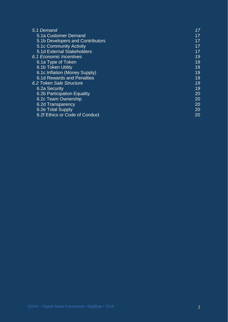| 5.1 Demand                       | 17  |
|----------------------------------|-----|
| 5.1a Customer Demand             | 17  |
| 5.1b Developers and Contributors | 17  |
| 5.1c Community Activity          | 17. |
| 5.1d External Stakeholders       | 17  |
| 6.1 Economic Incentives          | 19  |
| 6.1a Type of Token               | 19  |
| 6.1b Token Utility               | 19  |
| 6.1c Inflation (Money Supply)    | 19  |
| 6.1d Rewards and Penalties       | 19  |
| 6.2 Token Sale Structure         | 19  |
| 6.2a Security                    | 19  |
| 6.2b Participation Equality      | 20  |
| 6.2c Team Ownership              | 20  |
| 6.2d Transparency                | 20  |
| 6.2e Total Supply                | 20  |
| 6.2f Ethics or Code of Conduct   | 20  |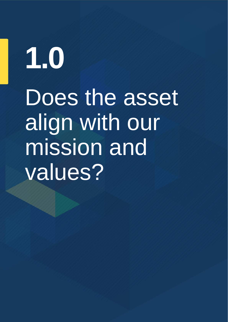## <span id="page-3-0"></span>**1.0** Does the asset align with our mission and values?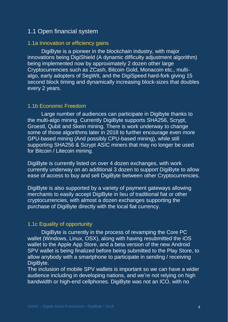#### 1.1 Open financial system

#### <span id="page-4-0"></span>1.1a Innovation or efficiency gains

DigiByte is a pioneer in the blockchain industry, with major innovations being DigiShield (A dynamic difficulty adjustment algorithm) being implemented now by approximately 2 dozen other large Cryptocurrencies such as ZCash, Bitcoin Gold, Monacoin etc., multialgo, early adopters of SegWit, and the DigiSpeed hard-fork giving 15 second block timing and dynamically increasing block-sizes that doubles every 2 years.

#### <span id="page-4-1"></span>1.1b Economic Freedom

Large number of audiences can participate in Digibyte thanks to the multi-algo mining. Currently DigiByte supports SHA256, Scrypt, Groestl, Qubit and Skein mining. There is work underway to change some of those algorithms later in 2018 to further encourage even more GPU-based mining (And possibly CPU-based mining), while still supporting SHA256 & Scrypt ASIC miners that may no longer be used for Bitcoin / Litecoin mining.

DigiByte is currently listed on over 4 dozen exchanges, with work currently underway on an additional 3 dozen to support DigiByte to allow ease of access to buy and sell DigiByte between other Cryptocurrencies.

DigiByte is also supported by a variety of payment gateways allowing merchants to easily accept DigiByte in lieu of traditional fiat or other cryptocurrencies, with almost a dozen exchanges supporting the purchase of DigiByte directly with the local fiat currency.

#### <span id="page-4-2"></span>1.1c Equality of opportunity

DigiByte is currently in the process of revamping the Core PC wallet (Windows, Linux, OSX), along with having resubmitted the iOS wallet to the Apple App Store, and a beta version of the new Android SPV wallet is being finalized before being submitted to the Play Store, to allow anybody with a smartphone to participate in sending / receiving DigiByte.

The inclusion of mobile SPV wallets is important so we can have a wider audience including in developing nations, and we're not relying on high bandwidth or high-end cellphones. DigiByte was not an ICO, with no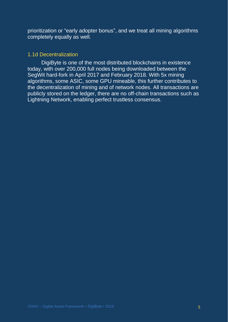prioritization or "early adopter bonus", and we treat all mining algorithms completely equally as well.

#### <span id="page-5-0"></span>1.1d Decentralization

DigiByte is one of the most distributed blockchains in existence today, with over 200,000 full nodes being downloaded between the SegWit hard-fork in April 2017 and February 2018. With 5x mining algorithms, some ASIC, some GPU mineable, this further contributes to the decentralization of mining and of network nodes. All transactions are publicly stored on the ledger, there are no off-chain transactions such as Lightning Network, enabling perfect trustless consensus.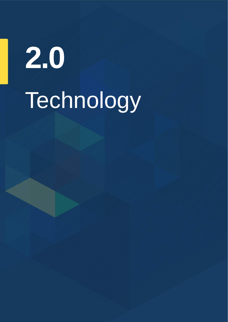# <span id="page-6-0"></span>Technology **2.0**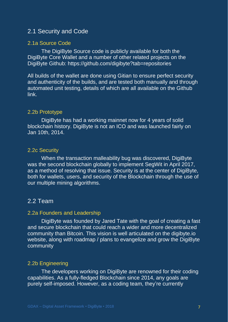#### 2.1 Security and Code

#### <span id="page-7-0"></span>2.1a Source Code

The DigiByte Source code is publicly available for both the DigiByte Core Wallet and a number of other related projects on the DigiByte Github: https://github.com/digibyte?tab=repositories

All builds of the wallet are done using Gitian to ensure perfect security and authenticity of the builds, and are tested both manually and through automated unit testing, details of which are all available on the Github link.

#### <span id="page-7-1"></span>2.2b Prototype

DigiByte has had a working mainnet now for 4 years of solid blockchain history. DigiByte is not an ICO and was launched fairly on Jan 10th, 2014.

#### <span id="page-7-2"></span>2.2c Security

When the transaction malleability bug was discovered, DigiByte was the second blockchain globally to implement SegWit in April 2017, as a method of resolving that issue. Security is at the center of DigiByte, both for wallets, users, and security of the Blockchain through the use of our multiple mining algorithms.

#### <span id="page-7-3"></span>2.2 Team

#### <span id="page-7-4"></span>2.2a Founders and Leadership

DigiByte was founded by Jared Tate with the goal of creating a fast and secure blockchain that could reach a wider and more decentralized community than Bitcoin. This vision is well articulated on the digibyte.io website, along with roadmap / plans to evangelize and grow the DigiByte community

#### <span id="page-7-5"></span>2.2b Engineering

The developers working on DigiByte are renowned for their coding capabilities. As a fully-fledged Blockchain since 2014, any goals are purely self-imposed. However, as a coding team, they're currently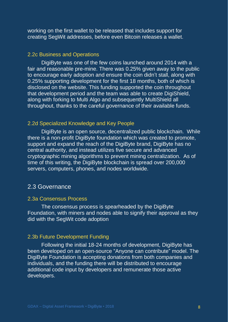working on the first wallet to be released that includes support for creating SegWit addresses, before even Bitcoin releases a wallet.

#### <span id="page-8-0"></span>2.2c Business and Operations

DigiByte was one of the few coins launched around 2014 with a fair and reasonable pre-mine. There was 0.25% given away to the public to encourage early adoption and ensure the coin didn't stall, along with 0.25% supporting development for the first 18 months, both of which is disclosed on the website. This funding supported the coin throughout that development period and the team was able to create DigiShield, along with forking to Multi Algo and subsequently MultiShield all throughout, thanks to the careful governance of their available funds.

#### <span id="page-8-1"></span>2.2d Specialized Knowledge and Key People

DigiByte is an open source, decentralized public blockchain. While there is a non-profit DigiByte foundation which was created to promote, support and expand the reach of the DigiByte brand, DigiByte has no central authority, and instead utilizes five secure and advanced cryptographic mining algorithms to prevent mining centralization. As of time of this writing, the DigiByte blockchain is spread over 200,000 servers, computers, phones, and nodes worldwide.

#### <span id="page-8-2"></span>2.3 Governance

#### <span id="page-8-3"></span>2.3a Consensus Process

The consensus process is spearheaded by the DigiByte Foundation, with miners and nodes able to signify their approval as they did with the SegWit code adoption

#### <span id="page-8-4"></span>2.3b Future Development Funding

Following the initial 18-24 months of development, DigiByte has been developed on an open-source "Anyone can contribute" model. The DigiByte Foundation is accepting donations from both companies and individuals, and the funding there will be distributed to encourage additional code input by developers and remunerate those active developers.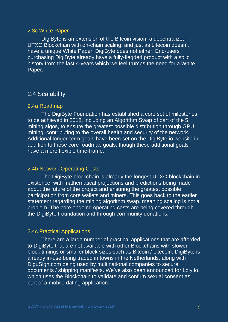#### <span id="page-9-0"></span>2.3c White Paper

DigiByte is an extension of the Bitcoin vision, a decentralized UTXO Blockchain with on-chain scaling, and just as Litecoin doesn't have a unique White Paper, DigiByte does not either. End-users purchasing DigiByte already have a fully-flegded product with a solid history from the last 4-years which we feel trumps the need for a White Paper.

#### <span id="page-9-1"></span>2.4 Scalability

#### <span id="page-9-2"></span>2.4a Roadmap

The DigiByte Foundation has established a core set of milestones to be achieved in 2018, including an Algorithm Swap of part of the 5 mining algos, to ensure the greatest possible distribution through GPU mining, contributing to the overall health and security of the network. Additional longer-term goals have been set on the DigiByte.io website in addition to these core roadmap goals, though these additional goals have a more flexible time-frame.

#### <span id="page-9-3"></span>2.4b Network Operating Costs

The DigiByte blockchain is already the longest UTXO blockchain in existence, with mathematical projections and predictions being made about the future of the project and ensuring the greatest possible participation from core wallets and miners. This goes back to the earlier statement regarding the mining algorithm swap, meaning scaling is not a problem. The core ongoing operating costs are being covered through the DigiByte Foundation and through community donations.

#### <span id="page-9-4"></span>2.4c Practical Applications

There are a large number of practical applications that are afforded to DigiByte that are not available with other Blockchains with slower block timings or smaller block sizes such as Bitcoin / Litecoin. DigiByte is already in-use being traded in towns in the Netherlands, along with DiguSign.com being used by multinational companies to secure documents / shipping manifests. We've also been announced for Loly.io, which uses the Blockchain to validate and confirm sexual consent as part of a mobile dating application.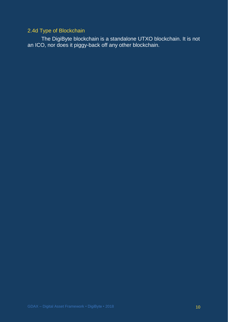#### <span id="page-10-0"></span>2.4d Type of Blockchain

The DigiByte blockchain is a standalone UTXO blockchain. It is not an ICO, nor does it piggy-back off any other blockchain.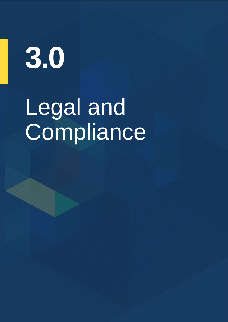**3.0**

### <span id="page-11-0"></span>Legal and Compliance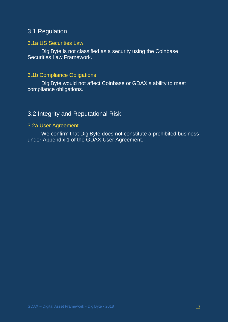#### 3.1 Regulation

#### <span id="page-12-0"></span>3.1a US Securities Law

DigiByte is not classified as a security using the Coinbase Securities Law Framework.

#### <span id="page-12-1"></span>3.1b Compliance Obligations

DigiByte would not affect Coinbase or GDAX's ability to meet compliance obligations.

#### <span id="page-12-2"></span>3.2 Integrity and Reputational Risk

#### <span id="page-12-3"></span>3.2a User Agreement

We confirm that DigiByte does not constitute a prohibited business under Appendix 1 of the GDAX User Agreement.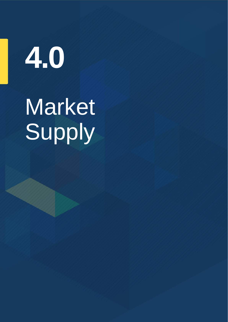**4.0**

### Market Supply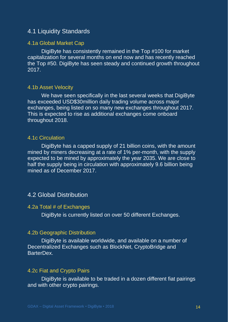#### <span id="page-14-0"></span>4.1 Liquidity Standards

#### <span id="page-14-1"></span>4.1a Global Market Cap

DigiByte has consistently remained in the Top #100 for market capitalization for several months on end now and has recently reached the Top #50. DigiByte has seen steady and continued growth throughout 2017.

#### <span id="page-14-2"></span>4.1b Asset Velocity

We have seen specifically in the last several weeks that DigiByte has exceeded USD\$30million daily trading volume across major exchanges, being listed on so many new exchanges throughout 2017. This is expected to rise as additional exchanges come onboard throughout 2018.

#### <span id="page-14-3"></span>4.1c Circulation

DigiByte has a capped supply of 21 billion coins, with the amount mined by miners decreasing at a rate of 1% per-month, with the supply expected to be mined by approximately the year 2035. We are close to half the supply being in circulation with approximately 9.6 billion being mined as of December 2017.

#### <span id="page-14-4"></span>4.2 Global Distribution

#### <span id="page-14-5"></span>4.2a Total # of Exchanges

DigiByte is currently listed on over 50 different Exchanges.

#### <span id="page-14-6"></span>4.2b Geographic Distribution

DigiByte is available worldwide, and available on a number of Decentralized Exchanges such as BlockNet, CryptoBridge and BarterDex.

#### <span id="page-14-7"></span>4.2c Fiat and Crypto Pairs

DigiByte is available to be traded in a dozen different fiat pairings and with other crypto pairings.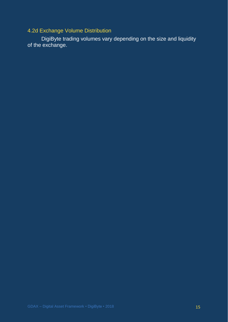<span id="page-15-0"></span>4.2d Exchange Volume Distribution

DigiByte trading volumes vary depending on the size and liquidity of the exchange.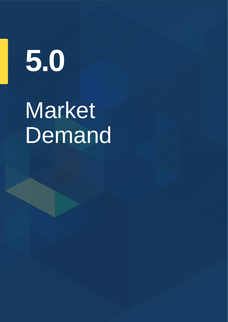## **5.0**

### <span id="page-16-0"></span>**Market Demand**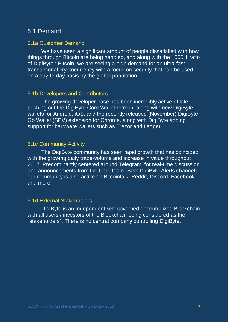#### 5.1 Demand

#### <span id="page-17-0"></span>5.1a Customer Demand

We have seen a significant amount of people dissatisfied with how things through Bitcoin are being handled, and along with the 1000:1 ratio of DigiByte : Bitcoin, we are seeing a high demand for an ultra-fast transactional cryptocurrency with a focus on security that can be used on a day-to-day basis by the global population.

#### <span id="page-17-1"></span>5.1b Developers and Contributors

The growing developer base has been incredibly active of late pushing out the DigiByte Core Wallet refresh, along with new DigiByte wallets for Android, iOS, and the recently released (November) DigiByte Go Wallet (SPV) extension for Chrome, along with DigiByte adding support for hardware wallets such as Trezor and Ledger

#### <span id="page-17-2"></span>5.1c Community Activity

The DigiByte community has seen rapid growth that has coincided with the growing daily trade-volume and increase in value throughout 2017. Predominantly centered around Telegram, for real-time discussion and announcements from the Core team (See: DigiByte Alerts channel), our community is also active on Bitcointalk, Reddit, Discord, Facebook and more.

#### <span id="page-17-3"></span>5.1d External Stakeholders

DigiByte is an independent self-governed decentralized Blockchain with all users / investors of the Blockchain being considered as the "stakeholders". There is no central company controlling DigiByte.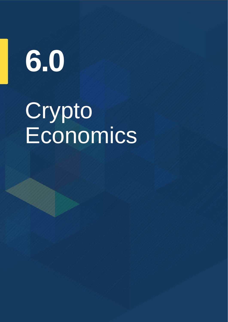## **6.0**

### Crypto Economics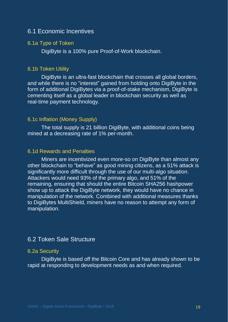#### <span id="page-19-0"></span>6.1 Economic Incentives

#### <span id="page-19-1"></span>6.1a Type of Token

DigiByte is a 100% pure Proof-of-Work blockchain.

#### <span id="page-19-2"></span>6.1b Token Utility

DigiByte is an ultra-fast blockchain that crosses all global borders, and while there is no "interest" gained from holding onto DigiByte in the form of additional DigiBytes via a proof-of-stake mechanism, DigiByte is cementing itself as a global leader in blockchain security as well as real-time payment technology.

#### <span id="page-19-3"></span>6.1c Inflation (Money Supply)

The total supply is 21 billion DigiByte, with additional coins being mined at a decreasing rate of 1% per-month.

#### <span id="page-19-4"></span>6.1d Rewards and Penalties

Miners are incentivized even more-so on DigiByte than almost any other blockchain to "behave" as good mining citizens, as a 51% attack is significantly more difficult through the use of our multi-algo situation. Attackers would need 93% of the primary algo, and 51% of the remaining, ensuring that should the entire Bitcoin SHA256 hashpower show up to attack the DigiByte network, they would have no chance in manipulation of the network. Combined with additional measures thanks to DigiBytes MultiShield, miners have no reason to attempt any form of manipulation.

#### <span id="page-19-5"></span>6.2 Token Sale Structure

#### <span id="page-19-6"></span>6.2a Security

DigiByte is based off the Bitcoin Core and has already shown to be rapid at responding to development needs as and when required.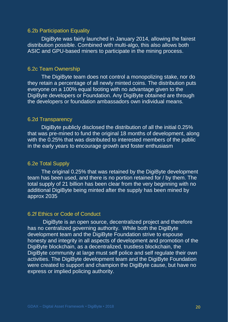#### <span id="page-20-0"></span>6.2b Participation Equality

DigiByte was fairly launched in January 2014, allowing the fairest distribution possible. Combined with multi-algo, this also allows both ASIC and GPU-based miners to participate in the mining process.

#### <span id="page-20-1"></span>6.2c Team Ownership

The DigiByte team does not control a monopolizing stake, nor do they retain a percentage of all newly minted coins. The distribution puts everyone on a 100% equal footing with no advantage given to the DigiByte developers or Foundation. Any DigiByte obtained are through the developers or foundation ambassadors own individual means.

#### <span id="page-20-2"></span>6.2d Transparency

DigiByte publicly disclosed the distribution of all the initial 0.25% that was pre-mined to fund the original 18 months of development, along with the 0.25% that was distributed to interested members of the public in the early years to encourage growth and foster enthusiasm

#### <span id="page-20-3"></span>6.2e Total Supply

The original 0.25% that was retained by the DigiByte development team has been used, and there is no portion retained for / by them. The total supply of 21 billion has been clear from the very beginning with no additional DigiByte being minted after the supply has been mined by approx 2035

#### <span id="page-20-4"></span>6.2f Ethics or Code of Conduct

DigiByte is an open source, decentralized project and therefore has no centralized governing authority. While both the DigiByte development team and the DigiByte Foundation strive to espouse honesty and integrity in all aspects of development and promotion of the DigiByte blockchain, as a decentralized, trustless blockchain, the DigiByte community at large must self police and self regulate their own activities. The DigiByte development team and the DigiByte Foundation were created to support and champion the DigiByte cause, but have no express or implied policing authority.